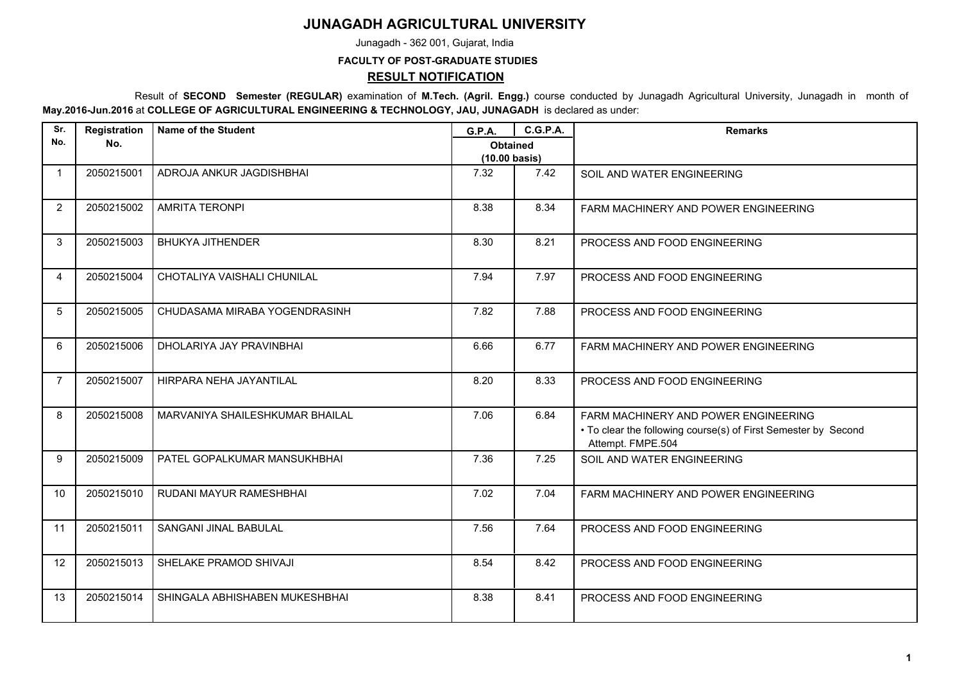## **JUNAGADH AGRICULTURAL UNIVERSITY**

Junagadh - 362 001, Gujarat, India

## **FACULTY OF POST-GRADUATE STUDIES RESULT NOTIFICATION**

 Result of **SECOND Semester (REGULAR)** examination of **M.Tech. (Agril. Engg.)** course conducted by Junagadh Agricultural University, Junagadh in month of **May.2016-Jun.2016** at **COLLEGE OF AGRICULTURAL ENGINEERING & TECHNOLOGY, JAU, JUNAGADH** is declared as under:

| Sr.            | Registration | <b>Name of the Student</b>      | G.P.A.                                     | <b>C.G.P.A.</b> | <b>Remarks</b>                                                                                                              |
|----------------|--------------|---------------------------------|--------------------------------------------|-----------------|-----------------------------------------------------------------------------------------------------------------------------|
| No.            | No.          |                                 | <b>Obtained</b><br>$(10.00 \text{ basis})$ |                 |                                                                                                                             |
| -1             | 2050215001   | ADROJA ANKUR JAGDISHBHAI        | 7.32                                       | 7.42            | SOIL AND WATER ENGINEERING                                                                                                  |
| 2              | 2050215002   | <b>AMRITA TERONPI</b>           | 8.38                                       | 8.34            | FARM MACHINERY AND POWER ENGINEERING                                                                                        |
| 3              | 2050215003   | <b>BHUKYA JITHENDER</b>         | 8.30                                       | 8.21            | PROCESS AND FOOD ENGINEERING                                                                                                |
| 4              | 2050215004   | CHOTALIYA VAISHALI CHUNILAL     | 7.94                                       | 7.97            | PROCESS AND FOOD ENGINEERING                                                                                                |
| 5              | 2050215005   | CHUDASAMA MIRABA YOGENDRASINH   | 7.82                                       | 7.88            | PROCESS AND FOOD ENGINEERING                                                                                                |
| 6              | 2050215006   | DHOLARIYA JAY PRAVINBHAI        | 6.66                                       | 6.77            | FARM MACHINERY AND POWER ENGINEERING                                                                                        |
| $\overline{7}$ | 2050215007   | HIRPARA NEHA JAYANTILAL         | 8.20                                       | 8.33            | PROCESS AND FOOD ENGINEERING                                                                                                |
| 8              | 2050215008   | MARVANIYA SHAILESHKUMAR BHAILAL | 7.06                                       | 6.84            | FARM MACHINERY AND POWER ENGINEERING<br>• To clear the following course(s) of First Semester by Second<br>Attempt. FMPE.504 |
| 9              | 2050215009   | PATEL GOPALKUMAR MANSUKHBHAI    | 7.36                                       | 7.25            | SOIL AND WATER ENGINEERING                                                                                                  |
| 10             | 2050215010   | RUDANI MAYUR RAMESHBHAI         | 7.02                                       | 7.04            | FARM MACHINERY AND POWER ENGINEERING                                                                                        |
| 11             | 2050215011   | SANGANI JINAL BABULAL           | 7.56                                       | 7.64            | PROCESS AND FOOD ENGINEERING                                                                                                |
| 12             | 2050215013   | SHELAKE PRAMOD SHIVAJI          | 8.54                                       | 8.42            | PROCESS AND FOOD ENGINEERING                                                                                                |
| 13             | 2050215014   | SHINGALA ABHISHABEN MUKESHBHAI  | 8.38                                       | 8.41            | PROCESS AND FOOD ENGINEERING                                                                                                |